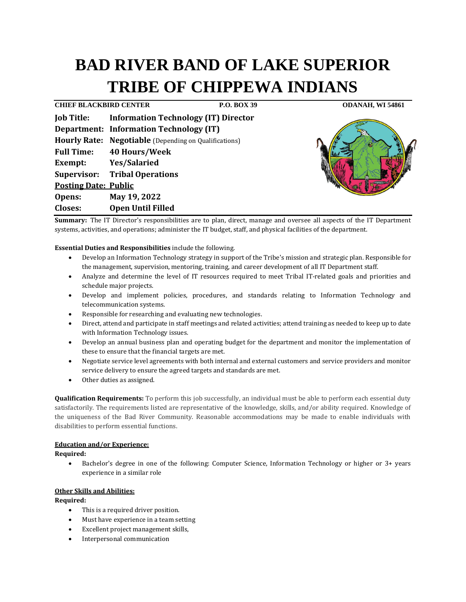# **BAD RIVER BAND OF LAKE SUPERIOR TRIBE OF CHIPPEWA INDIANS**

**CHIEF BLACKBIRD CENTER P.O. BOX 39 ODANAH, WI 54861 Job Title: Information Technology (IT) Director Department: Information Technology (IT) Hourly Rate: Negotiable** (Depending on Qualifications) **Full Time: 40 Hours/Week Exempt: Yes/Salaried Supervisor: Tribal Operations Posting Date: Public Opens: May 19, 2022 Closes: Open Until Filled**



**Summary:** The IT Director's responsibilities are to plan, direct, manage and oversee all aspects of the IT Department systems, activities, and operations; administer the IT budget, staff, and physical facilities of the department.

## **Essential Duties and Responsibilities** include the following.

- Develop an Information Technology strategy in support of the Tribe's mission and strategic plan. Responsible for the management, supervision, mentoring, training, and career development of all IT Department staff.
- Analyze and determine the level of IT resources required to meet Tribal IT-related goals and priorities and schedule major projects.
- Develop and implement policies, procedures, and standards relating to Information Technology and telecommunication systems.
- Responsible for researching and evaluating new technologies.
- Direct, attend and participate in staff meetings and related activities; attend training as needed to keep up to date with Information Technology issues.
- Develop an annual business plan and operating budget for the department and monitor the implementation of these to ensure that the financial targets are met.
- Negotiate service level agreements with both internal and external customers and service providers and monitor service delivery to ensure the agreed targets and standards are met.
- Other duties as assigned.

**Qualification Requirements:** To perform this job successfully, an individual must be able to perform each essential duty satisfactorily. The requirements listed are representative of the knowledge, skills, and/or ability required. Knowledge of the uniqueness of the Bad River Community. Reasonable accommodations may be made to enable individuals with disabilities to perform essential functions.

## **Education and/or Experience:**

**Required:**

• Bachelor's degree in one of the following: Computer Science, Information Technology or higher or 3+ years experience in a similar role

## **Other Skills and Abilities:**

#### **Required:**

- This is a required driver position.
- Must have experience in a team setting
- Excellent project management skills,
- Interpersonal communication